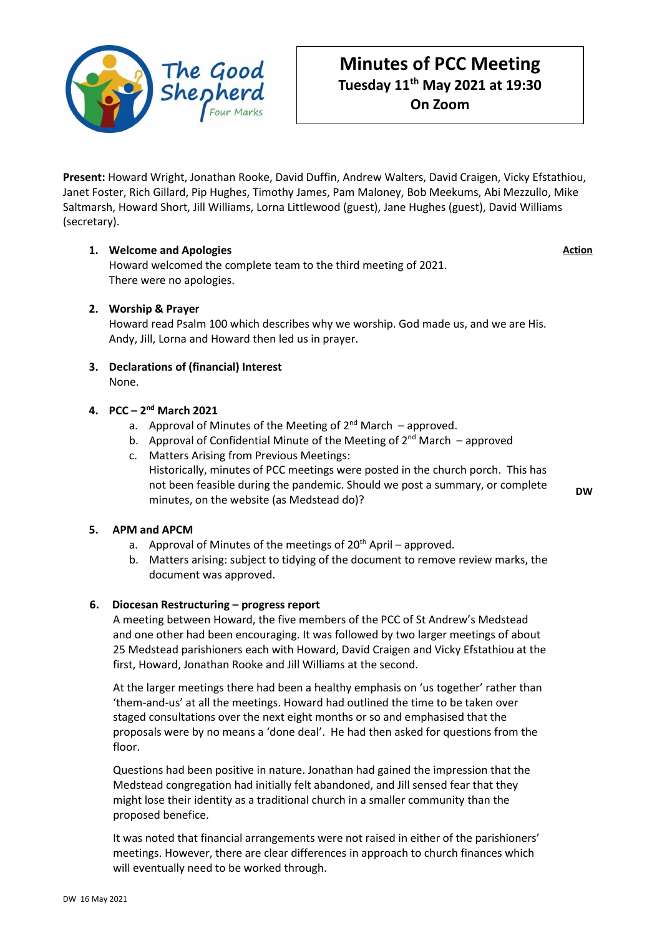

# **Minutes of PCC Meeting Tuesday 11th May 2021 at 19:30 On Zoom**

**Present:** Howard Wright, Jonathan Rooke, David Duffin, Andrew Walters, David Craigen, Vicky Efstathiou, Janet Foster, Rich Gillard, Pip Hughes, Timothy James, Pam Maloney, Bob Meekums, Abi Mezzullo, Mike Saltmarsh, Howard Short, Jill Williams, Lorna Littlewood (guest), Jane Hughes (guest), David Williams (secretary).

# **1. Welcome and Apologies**

Howard welcomed the complete team to the third meeting of 2021. There were no apologies.

# **2. Worship & Prayer**

Howard read Psalm 100 which describes why we worship. God made us, and we are His. Andy, Jill, Lorna and Howard then led us in prayer.

**3. Declarations of (financial) Interest** None.

# **4. PCC – 2 nd March 2021**

- a. Approval of Minutes of the Meeting of  $2^{nd}$  March approved.
- b. Approval of Confidential Minute of the Meeting of  $2^{nd}$  March approved
- c. Matters Arising from Previous Meetings: Historically, minutes of PCC meetings were posted in the church porch. This has not been feasible during the pandemic. Should we post a summary, or complete minutes, on the website (as Medstead do)?

**5. APM and APCM**

- a. Approval of Minutes of the meetings of  $20<sup>th</sup>$  April approved.
- b. Matters arising: subject to tidying of the document to remove review marks, the document was approved.

### **6. Diocesan Restructuring – progress report**

A meeting between Howard, the five members of the PCC of St Andrew's Medstead and one other had been encouraging. It was followed by two larger meetings of about 25 Medstead parishioners each with Howard, David Craigen and Vicky Efstathiou at the first, Howard, Jonathan Rooke and Jill Williams at the second.

At the larger meetings there had been a healthy emphasis on 'us together' rather than 'them-and-us' at all the meetings. Howard had outlined the time to be taken over staged consultations over the next eight months or so and emphasised that the proposals were by no means a 'done deal'. He had then asked for questions from the floor.

Questions had been positive in nature. Jonathan had gained the impression that the Medstead congregation had initially felt abandoned, and Jill sensed fear that they might lose their identity as a traditional church in a smaller community than the proposed benefice.

It was noted that financial arrangements were not raised in either of the parishioners' meetings. However, there are clear differences in approach to church finances which will eventually need to be worked through.

**Action**

**DW**